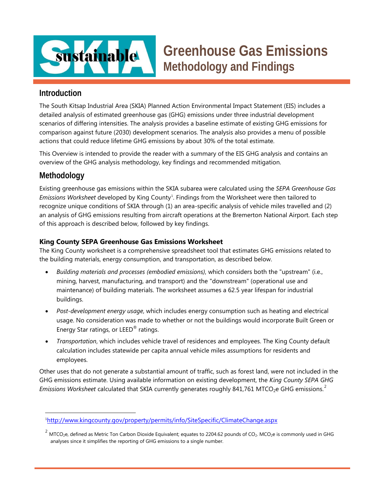

# **Greenhouse Gas Emissions Methodology and Findings**

## **Introduction**

The South Kitsap Industrial Area (SKIA) Planned Action Environmental Impact Statement (EIS) includes a detailed analysis of estimated greenhouse gas (GHG) emissions under three industrial development scenarios of differing intensities. The analysis provides a baseline estimate of existing GHG emissions for comparison against future (2030) development scenarios. The analysis also provides a menu of possible actions that could reduce lifetime GHG emissions by about 30% of the total estimate.

This Overview is intended to provide the reader with a summary of the EIS GHG analysis and contains an overview of the GHG analysis methodology, key findings and recommended mitigation.

## **Methodology**

Existing greenhouse gas emissions within the SKIA subarea were calculated using the *SEPA Greenhouse Gas*  Emissions Worksheet developed by King County<sup>[1](#page-0-0)</sup>. Findings from the Worksheet were then tailored to recognize unique conditions of SKIA through (1) an area-specific analysis of vehicle miles travelled and (2) an analysis of GHG emissions resulting from aircraft operations at the Bremerton National Airport. Each step of this approach is described below, followed by key findings.

### **King County SEPA Greenhouse Gas Emissions Worksheet**

The King County worksheet is a comprehensive spreadsheet tool that estimates GHG emissions related to the building materials, energy consumption, and transportation, as described below.

- *Building materials and processes (embodied emissions)*, which considers both the "upstream" (i.e., mining, harvest, manufacturing, and transport) and the "downstream" (operational use and maintenance) of building materials. The worksheet assumes a 62.5 year lifespan for industrial buildings.
- *Post-development energy usage*, which includes energy consumption such as heating and electrical usage. No consideration was made to whether or not the buildings would incorporate Built Green or Energy Star ratings, or LEED<sup>®</sup> ratings.
- *Transportation*, which includes vehicle travel of residences and employees. The King County default calculation includes statewide per capita annual vehicle miles assumptions for residents and employees.

Other uses that do not generate a substantial amount of traffic, such as forest land, were not included in the GHG emissions estimate. Using available information on existing development, the *King County SEPA GHG Emissions Worksheet* calculated that SKIA currently generates roughly 841,761 MTCO<sub>[2](#page-0-1)</sub>e GHG emissions.<sup>2</sup>

<span id="page-0-0"></span> $\overline{1}$ <sup>1</sup><http://www.kingcounty.gov/property/permits/info/SiteSpecific/ClimateChange.aspx>

<span id="page-0-1"></span> $^2$  MTCO<sub>2</sub>e, defined as Metric Ton Carbon Dioxide Equivalent; equates to 2204.62 pounds of CO<sub>2</sub>. MCO<sub>2</sub>e is commonly used in GHG analyses since it simplifies the reporting of GHG emissions to a single number.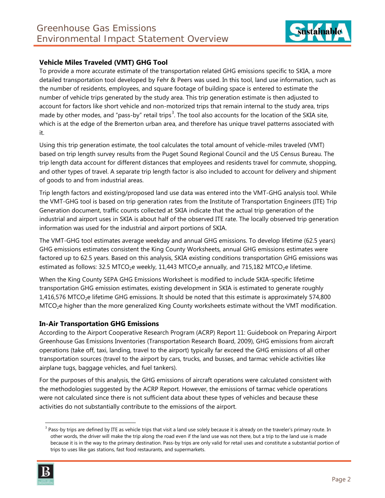

### **Vehicle Miles Traveled (VMT) GHG Tool**

To provide a more accurate estimate of the transportation related GHG emissions specific to SKIA, a more detailed transportation tool developed by Fehr & Peers was used. In this tool, land use information, such as the number of residents, employees, and square footage of building space is entered to estimate the number of vehicle trips generated by the study area. This trip generation estimate is then adjusted to account for factors like short vehicle and non-motorized trips that remain internal to the study area, trips made by other modes, and "pass-by" retail trips<sup>[3](#page-1-0)</sup>. The tool also accounts for the location of the SKIA site, which is at the edge of the Bremerton urban area, and therefore has unique travel patterns associated with it.

Using this trip generation estimate, the tool calculates the total amount of vehicle-miles traveled (VMT) based on trip length survey results from the Puget Sound Regional Council and the US Census Bureau. The trip length data account for different distances that employees and residents travel for commute, shopping, and other types of travel. A separate trip length factor is also included to account for delivery and shipment of goods to and from industrial areas.

Trip length factors and existing/proposed land use data was entered into the VMT-GHG analysis tool. While the VMT-GHG tool is based on trip generation rates from the Institute of Transportation Engineers (ITE) Trip Generation document, traffic counts collected at SKIA indicate that the actual trip generation of the industrial and airport uses in SKIA is about half of the observed ITE rate. The locally observed trip generation information was used for the industrial and airport portions of SKIA.

The VMT-GHG tool estimates average weekday and annual GHG emissions. To develop lifetime (62.5 years) GHG emissions estimates consistent the King County Worksheets, annual GHG emissions estimates were factored up to 62.5 years. Based on this analysis, SKIA existing conditions transportation GHG emissions was estimated as follows: 32.5 MTCO<sub>2</sub>e weekly, 11,443 MTCO<sub>2</sub>e annually, and 715,182 MTCO<sub>2</sub>e lifetime.

When the King County SEPA GHG Emissions Worksheet is modified to include SKIA-specific lifetime transportation GHG emission estimates, existing development in SKIA is estimated to generate roughly 1,416,576 MTCO<sub>2</sub>e lifetime GHG emissions. It should be noted that this estimate is approximately 574,800 MTCO2e higher than the more generalized King County worksheets estimate without the VMT modification.

#### **In-Air Transportation GHG Emissions**

According to the Airport Cooperative Research Program (ACRP) Report 11: Guidebook on Preparing Airport Greenhouse Gas Emissions Inventories (Transportation Research Board, 2009), GHG emissions from aircraft operations (take off, taxi, landing, travel to the airport) typically far exceed the GHG emissions of all other transportation sources (travel to the airport by cars, trucks, and busses, and tarmac vehicle activities like airplane tugs, baggage vehicles, and fuel tankers).

For the purposes of this analysis, the GHG emissions of aircraft operations were calculated consistent with the methodologies suggested by the ACRP Report. However, the emissions of tarmac vehicle operations were not calculated since there is not sufficient data about these types of vehicles and because these activities do not substantially contribute to the emissions of the airport.

<span id="page-1-0"></span> $3$  Pass-by trips are defined by ITE as vehicle trips that visit a land use solely because it is already on the traveler's primary route. In other words, the driver will make the trip along the road even if the land use was not there, but a trip to the land use is made because it is in the way to the primary destination. Pass-by trips are only valid for retail uses and constitute a substantial portion of trips to uses like gas stations, fast food restaurants, and supermarkets.

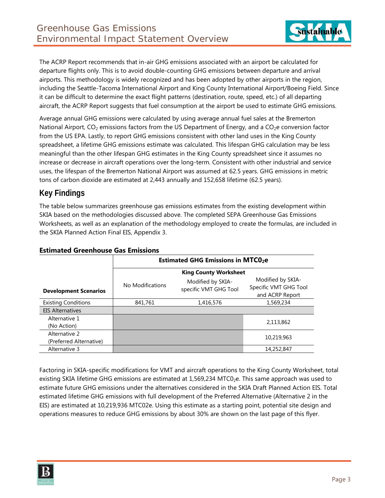

The ACRP Report recommends that in-air GHG emissions associated with an airport be calculated for departure flights only. This is to avoid double-counting GHG emissions between departure and arrival airports. This methodology is widely recognized and has been adopted by other airports in the region, including the Seattle-Tacoma International Airport and King County International Airport/Boeing Field. Since it can be difficult to determine the exact flight patterns (destination, route, speed, etc.) of all departing aircraft, the ACRP Report suggests that fuel consumption at the airport be used to estimate GHG emissions.

Average annual GHG emissions were calculated by using average annual fuel sales at the Bremerton National Airport,  $CO<sub>2</sub>$  emissions factors from the US Department of Energy, and a  $CO<sub>2</sub>e$  conversion factor from the US EPA. Lastly, to report GHG emissions consistent with other land uses in the King County spreadsheet, a lifetime GHG emissions estimate was calculated. This lifespan GHG calculation may be less meaningful than the other lifespan GHG estimates in the King County spreadsheet since it assumes no increase or decrease in aircraft operations over the long-term. Consistent with other industrial and service uses, the lifespan of the Bremerton National Airport was assumed at 62.5 years. GHG emissions in metric tons of carbon dioxide are estimated at 2,443 annually and 152,658 lifetime (62.5 years).

## **Key Findings**

The table below summarizes greenhouse gas emissions estimates from the existing development within SKIA based on the methodologies discussed above. The completed SEPA Greenhouse Gas Emissions Worksheets, as well as an explanation of the methodology employed to create the formulas, are included in the SKIA Planned Action Final EIS, Appendix 3.

|                                          | <b>Estimated GHG Emissions in MTCO<sub>2</sub>e</b> |                                            |                                                               |
|------------------------------------------|-----------------------------------------------------|--------------------------------------------|---------------------------------------------------------------|
|                                          | <b>King County Worksheet</b>                        |                                            |                                                               |
| <b>Development Scenarios</b>             | No Modifications                                    | Modified by SKIA-<br>specific VMT GHG Tool | Modified by SKIA-<br>Specific VMT GHG Tool<br>and ACRP Report |
| <b>Existing Conditions</b>               | 841,761                                             | 1,416,576                                  | 1,569,234                                                     |
| <b>EIS Alternatives</b>                  |                                                     |                                            |                                                               |
| Alternative 1<br>(No Action)             |                                                     |                                            | 2,113,862                                                     |
| Alternative 2<br>(Preferred Alternative) |                                                     |                                            | 10,219,963                                                    |
| Alternative 3                            |                                                     |                                            | 14,252,847                                                    |

#### **Estimated Greenhouse Gas Emissions**

Factoring in SKIA-specific modifications for VMT and aircraft operations to the King County Worksheet, total existing SKIA lifetime GHG emissions are estimated at  $1,569,234$  MTC0<sub>2</sub>e. This same approach was used to estimate future GHG emissions under the alternatives considered in the SKIA Draft Planned Action EIS. Total estimated lifetime GHG emissions with full development of the Preferred Alternative (Alternative 2 in the EIS) are estimated at 10,219,936 MTC02e. Using this estimate as a starting point, potential site design and operations measures to reduce GHG emissions by about 30% are shown on the last page of this flyer.